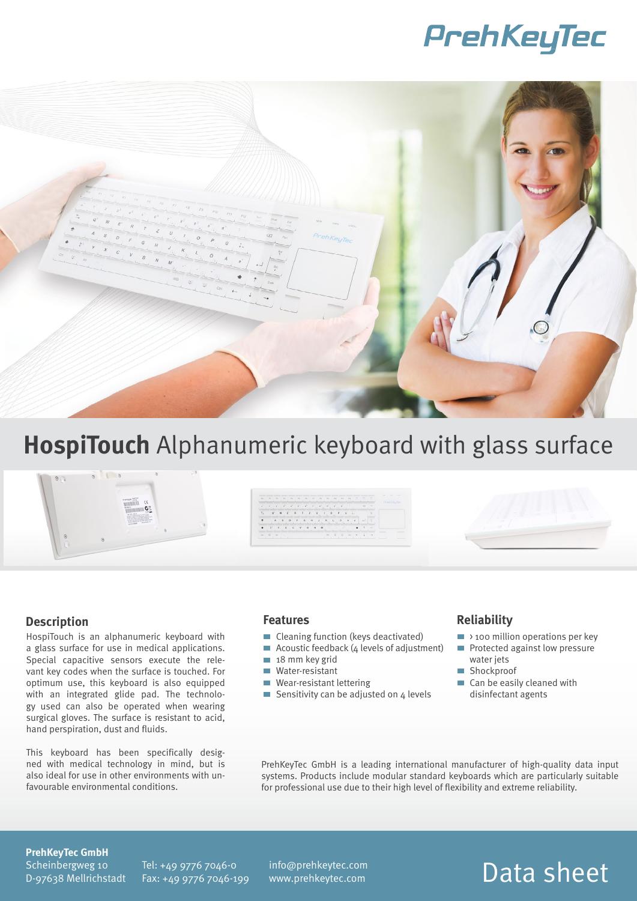## PrehKeyTec



## **HospiTouch** Alphanumeric keyboard with glass surface

### **Description**

HospiTouch is an alphanumeric keyboard with a glass surface for use in medical applications. Special capacitive sensors execute the relevant key codes when the surface is touched. For optimum use, this keyboard is also equipped with an integrated glide pad. The technology used can also be operated when wearing surgical gloves. The surface is resistant to acid, hand perspiration, dust and fluids.

This keyboard has been specifically designed with medical technology in mind, but is also ideal for use in other environments with unfavourable environmental conditions.

#### **Features**

- Cleaning function (keys deactivated)
- Acoustic feedback  $(4$  levels of adjustment)
- 18 mm key grid
- **Water-resistant**
- Wear-resistant lettering
- Sensitivity can be adjusted on  $4$  levels

#### **Reliability**

- $\blacksquare$  > 100 million operations per key
	- Protected against low pressure water jets
	- Shockproof
	- Can be easily cleaned with disinfectant agents

PrehKeyTec GmbH is a leading international manufacturer of high-quality data input systems. Products include modular standard keyboards which are particularly suitable for professional use due to their high level of flexibility and extreme reliability.

#### **PrehKeyTec GmbH**

Scheinbergweg 10 D-97638 Mellrichstadt Tel: +49 9776 7046-0 Fax: +49 9776 7046-199 info@prehkeytec.com www.prehkeytec.com

### Data sheet